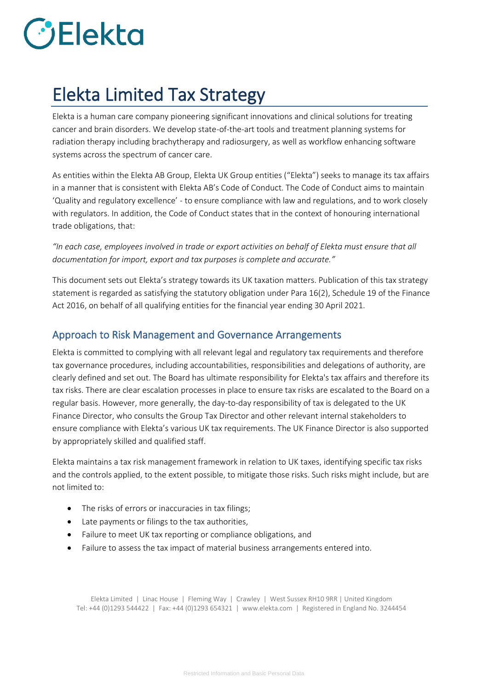# *DElekta*

### Elekta Limited Tax Strategy

Elekta is a human care company pioneering significant innovations and clinical solutions for treating cancer and brain disorders. We develop state-of-the-art tools and treatment planning systems for radiation therapy including brachytherapy and radiosurgery, as well as workflow enhancing software systems across the spectrum of cancer care.

As entities within the Elekta AB Group, Elekta UK Group entities ("Elekta") seeks to manage its tax affairs in a manner that is consistent with Elekta AB's Code of Conduct. The Code of Conduct aims to maintain 'Quality and regulatory excellence' - to ensure compliance with law and regulations, and to work closely with regulators. In addition, the Code of Conduct states that in the context of honouring international trade obligations, that:

*"In each case, employees involved in trade or export activities on behalf of Elekta must ensure that all documentation for import, export and tax purposes is complete and accurate."*

This document sets out Elekta's strategy towards its UK taxation matters. Publication of this tax strategy statement is regarded as satisfying the statutory obligation under Para 16(2), Schedule 19 of the Finance Act 2016, on behalf of all qualifying entities for the financial year ending 30 April 2021.

#### Approach to Risk Management and Governance Arrangements

Elekta is committed to complying with all relevant legal and regulatory tax requirements and therefore tax governance procedures, including accountabilities, responsibilities and delegations of authority, are clearly defined and set out. The Board has ultimate responsibility for Elekta's tax affairs and therefore its tax risks. There are clear escalation processes in place to ensure tax risks are escalated to the Board on a regular basis. However, more generally, the day-to-day responsibility of tax is delegated to the UK Finance Director, who consults the Group Tax Director and other relevant internal stakeholders to ensure compliance with Elekta's various UK tax requirements. The UK Finance Director is also supported by appropriately skilled and qualified staff.

Elekta maintains a tax risk management framework in relation to UK taxes, identifying specific tax risks and the controls applied, to the extent possible, to mitigate those risks. Such risks might include, but are not limited to:

- The risks of errors or inaccuracies in tax filings;
- Late payments or filings to the tax authorities,
- Failure to meet UK tax reporting or compliance obligations, and
- Failure to assess the tax impact of material business arrangements entered into.

Elekta Limited | Linac House | Fleming Way | Crawley | West Sussex RH10 9RR | United Kingdom Tel: +44 (0)1293 544422 | Fax: +44 (0)1293 654321 | www.elekta.com | Registered in England No. 3244454